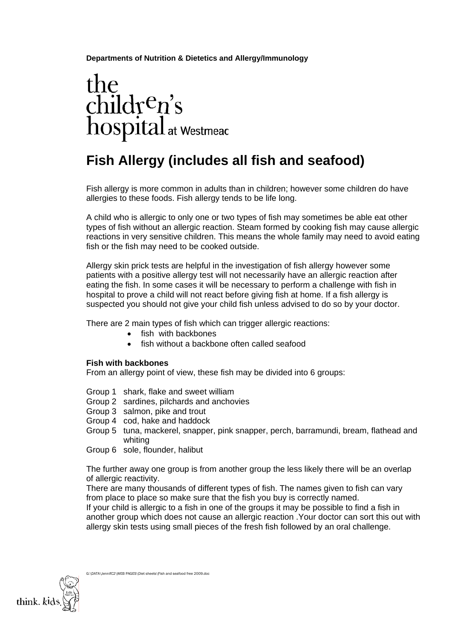**Departments of Nutrition & Dietetics and Allergy/Immunology** 

# the children's<br>hospital at Westmead

# **Fish Allergy (includes all fish and seafood)**

Fish allergy is more common in adults than in children; however some children do have allergies to these foods. Fish allergy tends to be life long.

A child who is allergic to only one or two types of fish may sometimes be able eat other types of fish without an allergic reaction. Steam formed by cooking fish may cause allergic reactions in very sensitive children. This means the whole family may need to avoid eating fish or the fish may need to be cooked outside.

Allergy skin prick tests are helpful in the investigation of fish allergy however some patients with a positive allergy test will not necessarily have an allergic reaction after eating the fish. In some cases it will be necessary to perform a challenge with fish in hospital to prove a child will not react before giving fish at home. If a fish allergy is suspected you should not give your child fish unless advised to do so by your doctor.

There are 2 main types of fish which can trigger allergic reactions:

- fish with backbones
- fish without a backbone often called seafood

#### **Fish with backbones**

From an allergy point of view, these fish may be divided into 6 groups:

- Group 1 shark, flake and sweet william
- Group 2 sardines, pilchards and anchovies
- Group 3 salmon, pike and trout
- Group 4 cod, hake and haddock
- Group 5 tuna, mackerel, snapper, pink snapper, perch, barramundi, bream, flathead and whiting
- Group 6 sole, flounder, halibut

The further away one group is from another group the less likely there will be an overlap of allergic reactivity.

There are many thousands of different types of fish. The names given to fish can vary from place to place so make sure that the fish you buy is correctly named.

If your child is allergic to a fish in one of the groups it may be possible to find a fish in another group which does not cause an allergic reaction .Your doctor can sort this out with allergy skin tests using small pieces of the fresh fish followed by an oral challenge.



G:\DATA\JennifC2\WEB PAGES\Diet sheets\Fish and seafood free 2009.doc